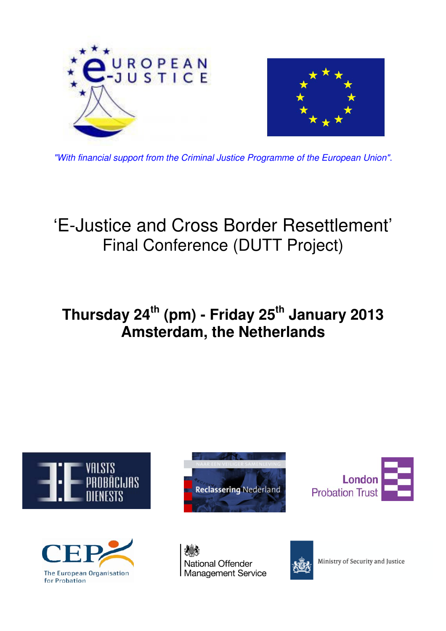

"With financial support from the Criminal Justice Programme of the European Union".

# 'E-Justice and Cross Border Resettlement' Final Conference (DUTT Project)

# **Thursday 24th (pm) - Friday 25th January 2013 Amsterdam, the Netherlands**









**National Offender Management Service** 



Ministry of Security and Justice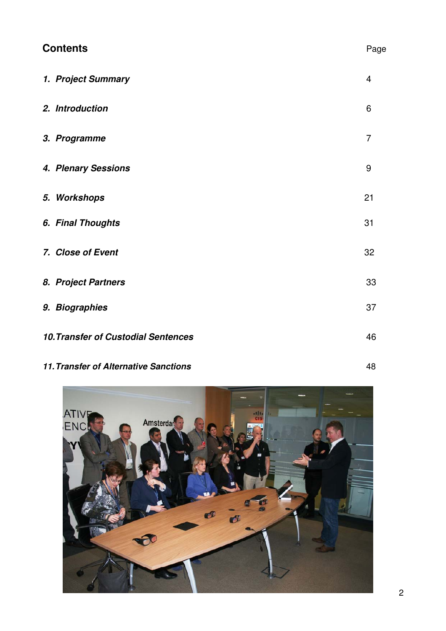| <b>Contents</b><br>Page                    |                |
|--------------------------------------------|----------------|
| 1. Project Summary                         | $\overline{4}$ |
| 2. Introduction                            | 6              |
| 3. Programme                               | $\overline{7}$ |
| 4. Plenary Sessions                        | 9              |
| 5. Workshops                               | 21             |
| 6. Final Thoughts                          | 31             |
| 7. Close of Event                          | 32             |
| 8. Project Partners                        | 33             |
| 9. Biographies                             | 37             |
| <b>10. Transfer of Custodial Sentences</b> | 46             |

## **11. Transfer of Alternative Sanctions** 48

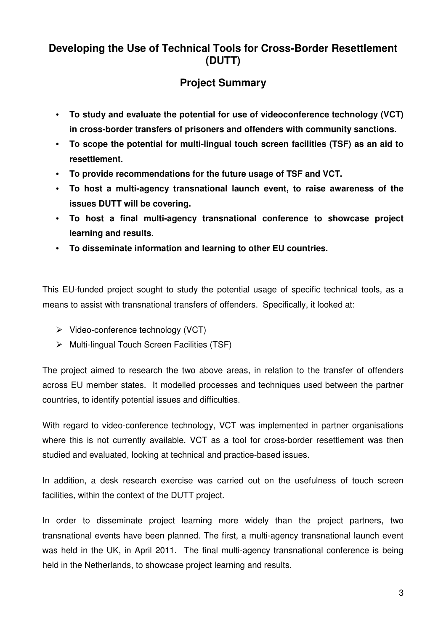## **Developing the Use of Technical Tools for Cross-Border Resettlement (DUTT)**

## **Project Summary**

- **To study and evaluate the potential for use of videoconference technology (VCT) in cross-border transfers of prisoners and offenders with community sanctions.**
- **To scope the potential for multi-lingual touch screen facilities (TSF) as an aid to resettlement.**
- **To provide recommendations for the future usage of TSF and VCT.**
- **To host a multi-agency transnational launch event, to raise awareness of the issues DUTT will be covering.**
- **To host a final multi-agency transnational conference to showcase project learning and results.**
- **To disseminate information and learning to other EU countries.**

This EU-funded project sought to study the potential usage of specific technical tools, as a means to assist with transnational transfers of offenders. Specifically, it looked at:

- $\triangleright$  Video-conference technology (VCT)
- $\triangleright$  Multi-lingual Touch Screen Facilities (TSF)

The project aimed to research the two above areas, in relation to the transfer of offenders across EU member states. It modelled processes and techniques used between the partner countries, to identify potential issues and difficulties.

With regard to video-conference technology, VCT was implemented in partner organisations where this is not currently available. VCT as a tool for cross-border resettlement was then studied and evaluated, looking at technical and practice-based issues.

In addition, a desk research exercise was carried out on the usefulness of touch screen facilities, within the context of the DUTT project.

In order to disseminate project learning more widely than the project partners, two transnational events have been planned. The first, a multi-agency transnational launch event was held in the UK, in April 2011. The final multi-agency transnational conference is being held in the Netherlands, to showcase project learning and results.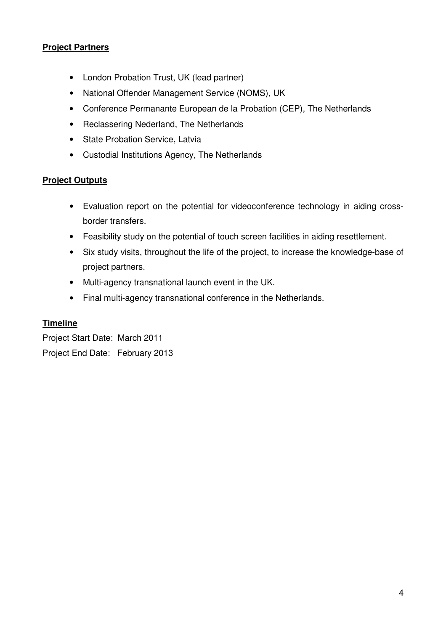#### **Project Partners**

- London Probation Trust, UK (lead partner)
- National Offender Management Service (NOMS), UK
- Conference Permanante European de la Probation (CEP), The Netherlands
- Reclassering Nederland, The Netherlands
- State Probation Service, Latvia
- Custodial Institutions Agency, The Netherlands

#### **Project Outputs**

- Evaluation report on the potential for videoconference technology in aiding crossborder transfers.
- Feasibility study on the potential of touch screen facilities in aiding resettlement.
- Six study visits, throughout the life of the project, to increase the knowledge-base of project partners.
- Multi-agency transnational launch event in the UK.
- Final multi-agency transnational conference in the Netherlands.

#### **Timeline**

Project Start Date: March 2011 Project End Date: February 2013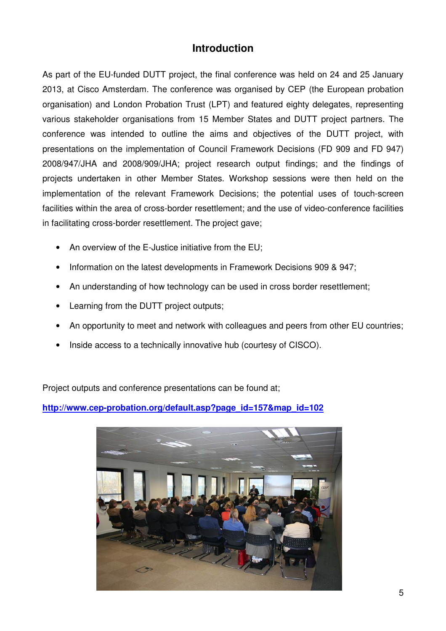## **Introduction**

As part of the EU-funded DUTT project, the final conference was held on 24 and 25 January 2013, at Cisco Amsterdam. The conference was organised by CEP (the European probation organisation) and London Probation Trust (LPT) and featured eighty delegates, representing various stakeholder organisations from 15 Member States and DUTT project partners. The conference was intended to outline the aims and objectives of the DUTT project, with presentations on the implementation of Council Framework Decisions (FD 909 and FD 947) 2008/947/JHA and 2008/909/JHA; project research output findings; and the findings of projects undertaken in other Member States. Workshop sessions were then held on the implementation of the relevant Framework Decisions; the potential uses of touch-screen facilities within the area of cross-border resettlement; and the use of video-conference facilities in facilitating cross-border resettlement. The project gave;

- An overview of the E-Justice initiative from the EU;
- Information on the latest developments in Framework Decisions 909 & 947;
- An understanding of how technology can be used in cross border resettlement;
- Learning from the DUTT project outputs;
- An opportunity to meet and network with colleagues and peers from other EU countries;
- Inside access to a technically innovative hub (courtesy of CISCO).

Project outputs and conference presentations can be found at;

**http://www.cep-probation.org/default.asp?page\_id=157&map\_id=102**

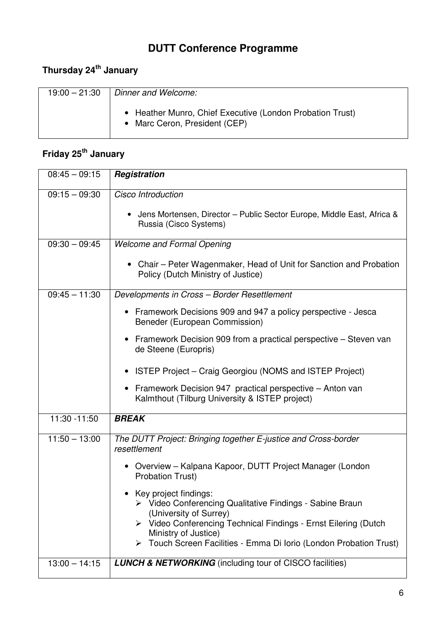## **DUTT Conference Programme**

## **Thursday 24th January**

| $19:00 - 21:30$ | Dinner and Welcome:                                                                        |
|-----------------|--------------------------------------------------------------------------------------------|
|                 | • Heather Munro, Chief Executive (London Probation Trust)<br>• Marc Ceron, President (CEP) |

## **Friday 25th January**

| $08:45 - 09:15$ | Registration                                                                                                |
|-----------------|-------------------------------------------------------------------------------------------------------------|
| $09:15 - 09:30$ | Cisco Introduction                                                                                          |
|                 | • Jens Mortensen, Director - Public Sector Europe, Middle East, Africa &<br>Russia (Cisco Systems)          |
| $09:30 - 09:45$ | <b>Welcome and Formal Opening</b>                                                                           |
|                 | • Chair - Peter Wagenmaker, Head of Unit for Sanction and Probation<br>Policy (Dutch Ministry of Justice)   |
| $09:45 - 11:30$ | Developments in Cross - Border Resettlement                                                                 |
|                 | Framework Decisions 909 and 947 a policy perspective - Jesca<br>Beneder (European Commission)               |
|                 | Framework Decision 909 from a practical perspective – Steven van<br>de Steene (Europris)                    |
|                 | ISTEP Project – Craig Georgiou (NOMS and ISTEP Project)                                                     |
|                 | Framework Decision 947 practical perspective - Anton van<br>Kalmthout (Tilburg University & ISTEP project)  |
| 11:30 -11:50    | <b>BREAK</b>                                                                                                |
| $11:50 - 13:00$ | The DUTT Project: Bringing together E-justice and Cross-border<br>resettlement                              |
|                 | • Overview – Kalpana Kapoor, DUTT Project Manager (London<br><b>Probation Trust)</b>                        |
|                 | Key project findings:<br>> Video Conferencing Qualitative Findings - Sabine Braun<br>(University of Surrey) |
|                 | > Video Conferencing Technical Findings - Ernst Eilering (Dutch<br>Ministry of Justice)                     |
|                 | Touch Screen Facilities - Emma Di Iorio (London Probation Trust)<br>➤                                       |
| $13:00 - 14:15$ | <b>LUNCH &amp; NETWORKING</b> (including tour of CISCO facilities)                                          |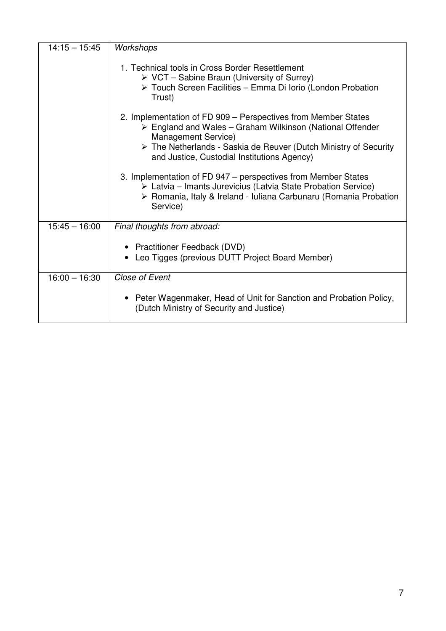| $14:15 - 15:45$ | Workshops                                                                                                                                                                                                                                                                                          |
|-----------------|----------------------------------------------------------------------------------------------------------------------------------------------------------------------------------------------------------------------------------------------------------------------------------------------------|
|                 | 1. Technical tools in Cross Border Resettlement<br>$\triangleright$ VCT – Sabine Braun (University of Surrey)<br>> Touch Screen Facilities - Emma Di Iorio (London Probation<br>Trust)                                                                                                             |
|                 | 2. Implementation of FD 909 – Perspectives from Member States<br>$\triangleright$ England and Wales – Graham Wilkinson (National Offender<br>Management Service)<br>$\triangleright$ The Netherlands - Saskia de Reuver (Dutch Ministry of Security<br>and Justice, Custodial Institutions Agency) |
|                 | 3. Implementation of FD 947 – perspectives from Member States<br>$\triangleright$ Latvia – Imants Jurevicius (Latvia State Probation Service)<br>> Romania, Italy & Ireland - Iuliana Carbunaru (Romania Probation<br>Service)                                                                     |
| $15:45 - 16:00$ | Final thoughts from abroad:                                                                                                                                                                                                                                                                        |
|                 | • Practitioner Feedback (DVD)<br>Leo Tigges (previous DUTT Project Board Member)                                                                                                                                                                                                                   |
| $16:00 - 16:30$ | Close of Event                                                                                                                                                                                                                                                                                     |
|                 | Peter Wagenmaker, Head of Unit for Sanction and Probation Policy,<br>(Dutch Ministry of Security and Justice)                                                                                                                                                                                      |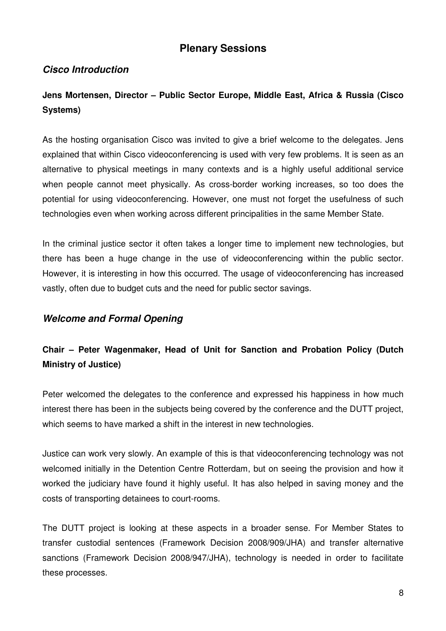## **Plenary Sessions**

### **Cisco Introduction**

## **Jens Mortensen, Director – Public Sector Europe, Middle East, Africa & Russia (Cisco Systems)**

As the hosting organisation Cisco was invited to give a brief welcome to the delegates. Jens explained that within Cisco videoconferencing is used with very few problems. It is seen as an alternative to physical meetings in many contexts and is a highly useful additional service when people cannot meet physically. As cross-border working increases, so too does the potential for using videoconferencing. However, one must not forget the usefulness of such technologies even when working across different principalities in the same Member State.

In the criminal justice sector it often takes a longer time to implement new technologies, but there has been a huge change in the use of videoconferencing within the public sector. However, it is interesting in how this occurred. The usage of videoconferencing has increased vastly, often due to budget cuts and the need for public sector savings.

#### **Welcome and Formal Opening**

## **Chair – Peter Wagenmaker, Head of Unit for Sanction and Probation Policy (Dutch Ministry of Justice)**

Peter welcomed the delegates to the conference and expressed his happiness in how much interest there has been in the subjects being covered by the conference and the DUTT project, which seems to have marked a shift in the interest in new technologies.

Justice can work very slowly. An example of this is that videoconferencing technology was not welcomed initially in the Detention Centre Rotterdam, but on seeing the provision and how it worked the judiciary have found it highly useful. It has also helped in saving money and the costs of transporting detainees to court-rooms.

The DUTT project is looking at these aspects in a broader sense. For Member States to transfer custodial sentences (Framework Decision 2008/909/JHA) and transfer alternative sanctions (Framework Decision 2008/947/JHA), technology is needed in order to facilitate these processes.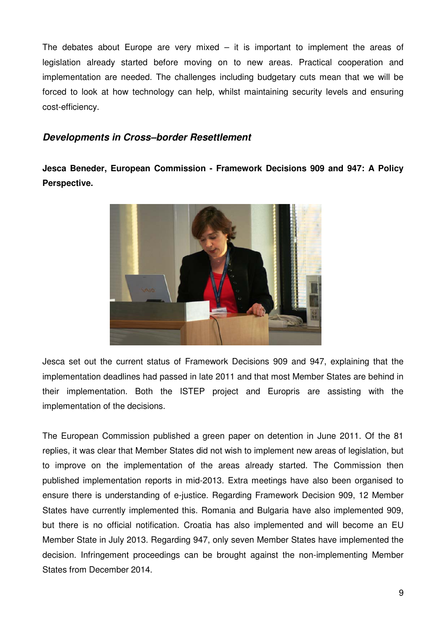The debates about Europe are very mixed  $-$  it is important to implement the areas of legislation already started before moving on to new areas. Practical cooperation and implementation are needed. The challenges including budgetary cuts mean that we will be forced to look at how technology can help, whilst maintaining security levels and ensuring cost-efficiency.

#### **Developments in Cross–border Resettlement**

**Jesca Beneder, European Commission - Framework Decisions 909 and 947: A Policy Perspective.** 



Jesca set out the current status of Framework Decisions 909 and 947, explaining that the implementation deadlines had passed in late 2011 and that most Member States are behind in their implementation. Both the ISTEP project and Europris are assisting with the implementation of the decisions.

The European Commission published a green paper on detention in June 2011. Of the 81 replies, it was clear that Member States did not wish to implement new areas of legislation, but to improve on the implementation of the areas already started. The Commission then published implementation reports in mid-2013. Extra meetings have also been organised to ensure there is understanding of e-justice. Regarding Framework Decision 909, 12 Member States have currently implemented this. Romania and Bulgaria have also implemented 909, but there is no official notification. Croatia has also implemented and will become an EU Member State in July 2013. Regarding 947, only seven Member States have implemented the decision. Infringement proceedings can be brought against the non-implementing Member States from December 2014.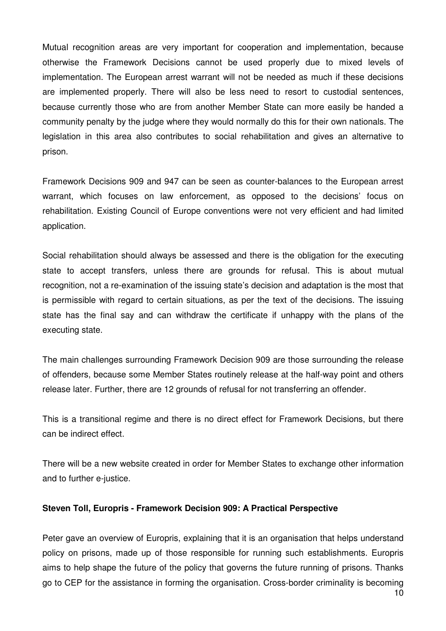Mutual recognition areas are very important for cooperation and implementation, because otherwise the Framework Decisions cannot be used properly due to mixed levels of implementation. The European arrest warrant will not be needed as much if these decisions are implemented properly. There will also be less need to resort to custodial sentences, because currently those who are from another Member State can more easily be handed a community penalty by the judge where they would normally do this for their own nationals. The legislation in this area also contributes to social rehabilitation and gives an alternative to prison.

Framework Decisions 909 and 947 can be seen as counter-balances to the European arrest warrant, which focuses on law enforcement, as opposed to the decisions' focus on rehabilitation. Existing Council of Europe conventions were not very efficient and had limited application.

Social rehabilitation should always be assessed and there is the obligation for the executing state to accept transfers, unless there are grounds for refusal. This is about mutual recognition, not a re-examination of the issuing state's decision and adaptation is the most that is permissible with regard to certain situations, as per the text of the decisions. The issuing state has the final say and can withdraw the certificate if unhappy with the plans of the executing state.

The main challenges surrounding Framework Decision 909 are those surrounding the release of offenders, because some Member States routinely release at the half-way point and others release later. Further, there are 12 grounds of refusal for not transferring an offender.

This is a transitional regime and there is no direct effect for Framework Decisions, but there can be indirect effect.

There will be a new website created in order for Member States to exchange other information and to further e-justice.

#### **Steven Toll, Europris - Framework Decision 909: A Practical Perspective**

Peter gave an overview of Europris, explaining that it is an organisation that helps understand policy on prisons, made up of those responsible for running such establishments. Europris aims to help shape the future of the policy that governs the future running of prisons. Thanks go to CEP for the assistance in forming the organisation. Cross-border criminality is becoming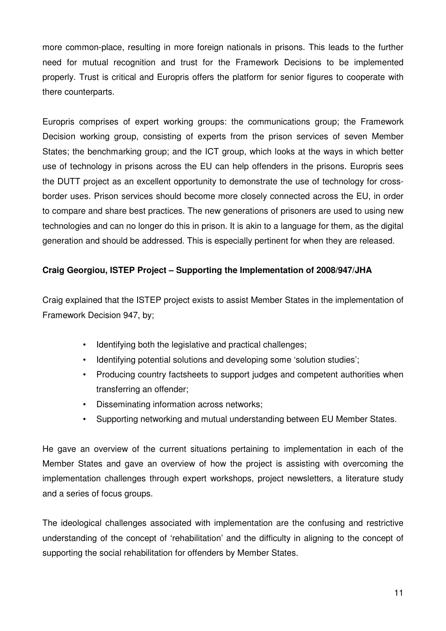more common-place, resulting in more foreign nationals in prisons. This leads to the further need for mutual recognition and trust for the Framework Decisions to be implemented properly. Trust is critical and Europris offers the platform for senior figures to cooperate with there counterparts.

Europris comprises of expert working groups: the communications group; the Framework Decision working group, consisting of experts from the prison services of seven Member States; the benchmarking group; and the ICT group, which looks at the ways in which better use of technology in prisons across the EU can help offenders in the prisons. Europris sees the DUTT project as an excellent opportunity to demonstrate the use of technology for crossborder uses. Prison services should become more closely connected across the EU, in order to compare and share best practices. The new generations of prisoners are used to using new technologies and can no longer do this in prison. It is akin to a language for them, as the digital generation and should be addressed. This is especially pertinent for when they are released.

#### **Craig Georgiou, ISTEP Project – Supporting the Implementation of 2008/947/JHA**

Craig explained that the ISTEP project exists to assist Member States in the implementation of Framework Decision 947, by;

- Identifying both the legislative and practical challenges;
- Identifying potential solutions and developing some 'solution studies';
- Producing country factsheets to support judges and competent authorities when transferring an offender;
- Disseminating information across networks;
- Supporting networking and mutual understanding between EU Member States.

He gave an overview of the current situations pertaining to implementation in each of the Member States and gave an overview of how the project is assisting with overcoming the implementation challenges through expert workshops, project newsletters, a literature study and a series of focus groups.

The ideological challenges associated with implementation are the confusing and restrictive understanding of the concept of 'rehabilitation' and the difficulty in aligning to the concept of supporting the social rehabilitation for offenders by Member States.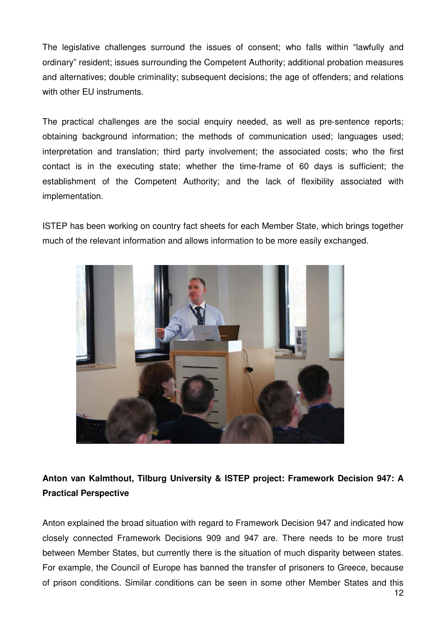The legislative challenges surround the issues of consent; who falls within "lawfully and ordinary" resident; issues surrounding the Competent Authority; additional probation measures and alternatives; double criminality; subsequent decisions; the age of offenders; and relations with other EU instruments.

The practical challenges are the social enquiry needed, as well as pre-sentence reports; obtaining background information; the methods of communication used; languages used; interpretation and translation; third party involvement; the associated costs; who the first contact is in the executing state; whether the time-frame of 60 days is sufficient; the establishment of the Competent Authority; and the lack of flexibility associated with implementation.

ISTEP has been working on country fact sheets for each Member State, which brings together much of the relevant information and allows information to be more easily exchanged.



## **Anton van Kalmthout, Tilburg University & ISTEP project: Framework Decision 947: A Practical Perspective**

Anton explained the broad situation with regard to Framework Decision 947 and indicated how closely connected Framework Decisions 909 and 947 are. There needs to be more trust between Member States, but currently there is the situation of much disparity between states. For example, the Council of Europe has banned the transfer of prisoners to Greece, because of prison conditions. Similar conditions can be seen in some other Member States and this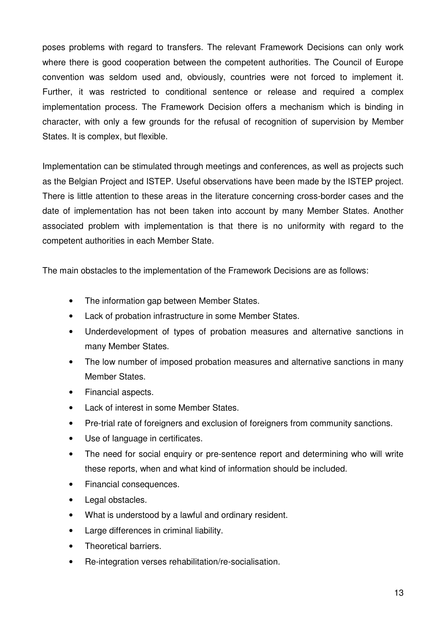poses problems with regard to transfers. The relevant Framework Decisions can only work where there is good cooperation between the competent authorities. The Council of Europe convention was seldom used and, obviously, countries were not forced to implement it. Further, it was restricted to conditional sentence or release and required a complex implementation process. The Framework Decision offers a mechanism which is binding in character, with only a few grounds for the refusal of recognition of supervision by Member States. It is complex, but flexible.

Implementation can be stimulated through meetings and conferences, as well as projects such as the Belgian Project and ISTEP. Useful observations have been made by the ISTEP project. There is little attention to these areas in the literature concerning cross-border cases and the date of implementation has not been taken into account by many Member States. Another associated problem with implementation is that there is no uniformity with regard to the competent authorities in each Member State.

The main obstacles to the implementation of the Framework Decisions are as follows:

- The information gap between Member States.
- Lack of probation infrastructure in some Member States.
- Underdevelopment of types of probation measures and alternative sanctions in many Member States.
- The low number of imposed probation measures and alternative sanctions in many Member States.
- Financial aspects.
- Lack of interest in some Member States.
- Pre-trial rate of foreigners and exclusion of foreigners from community sanctions.
- Use of language in certificates.
- The need for social enquiry or pre-sentence report and determining who will write these reports, when and what kind of information should be included.
- Financial consequences.
- Legal obstacles.
- What is understood by a lawful and ordinary resident.
- Large differences in criminal liability.
- Theoretical barriers.
- Re-integration verses rehabilitation/re-socialisation.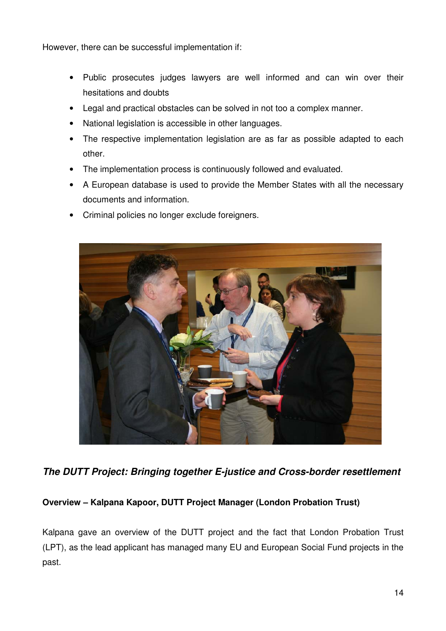However, there can be successful implementation if:

- Public prosecutes judges lawyers are well informed and can win over their hesitations and doubts
- Legal and practical obstacles can be solved in not too a complex manner.
- National legislation is accessible in other languages.
- The respective implementation legislation are as far as possible adapted to each other.
- The implementation process is continuously followed and evaluated.
- A European database is used to provide the Member States with all the necessary documents and information.
- Criminal policies no longer exclude foreigners.



**The DUTT Project: Bringing together E-justice and Cross-border resettlement** 

#### **Overview – Kalpana Kapoor, DUTT Project Manager (London Probation Trust)**

Kalpana gave an overview of the DUTT project and the fact that London Probation Trust (LPT), as the lead applicant has managed many EU and European Social Fund projects in the past.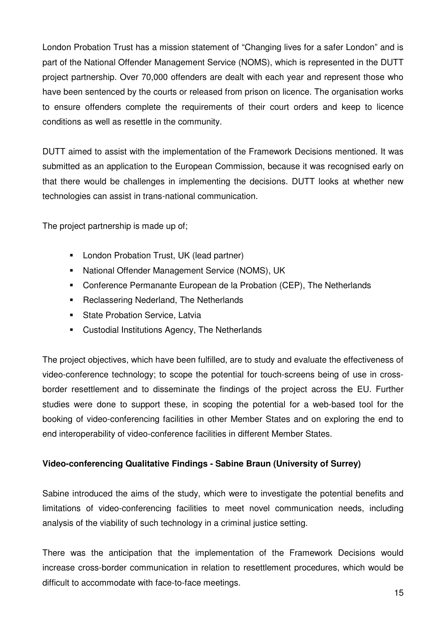London Probation Trust has a mission statement of "Changing lives for a safer London" and is part of the National Offender Management Service (NOMS), which is represented in the DUTT project partnership. Over 70,000 offenders are dealt with each year and represent those who have been sentenced by the courts or released from prison on licence. The organisation works to ensure offenders complete the requirements of their court orders and keep to licence conditions as well as resettle in the community.

DUTT aimed to assist with the implementation of the Framework Decisions mentioned. It was submitted as an application to the European Commission, because it was recognised early on that there would be challenges in implementing the decisions. DUTT looks at whether new technologies can assist in trans-national communication.

The project partnership is made up of:

- -London Probation Trust, UK (lead partner)
- -National Offender Management Service (NOMS), UK
- -Conference Permanante European de la Probation (CEP), The Netherlands
- -Reclassering Nederland, The Netherlands
- -State Probation Service, Latvia
- -Custodial Institutions Agency, The Netherlands

The project objectives, which have been fulfilled, are to study and evaluate the effectiveness of video-conference technology; to scope the potential for touch-screens being of use in crossborder resettlement and to disseminate the findings of the project across the EU. Further studies were done to support these, in scoping the potential for a web-based tool for the booking of video-conferencing facilities in other Member States and on exploring the end to end interoperability of video-conference facilities in different Member States.

#### **Video-conferencing Qualitative Findings - Sabine Braun (University of Surrey)**

Sabine introduced the aims of the study, which were to investigate the potential benefits and limitations of video-conferencing facilities to meet novel communication needs, including analysis of the viability of such technology in a criminal justice setting.

There was the anticipation that the implementation of the Framework Decisions would increase cross-border communication in relation to resettlement procedures, which would be difficult to accommodate with face-to-face meetings.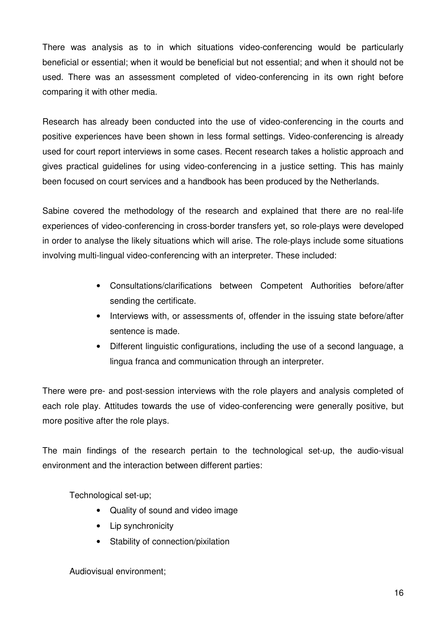There was analysis as to in which situations video-conferencing would be particularly beneficial or essential; when it would be beneficial but not essential; and when it should not be used. There was an assessment completed of video-conferencing in its own right before comparing it with other media.

Research has already been conducted into the use of video-conferencing in the courts and positive experiences have been shown in less formal settings. Video-conferencing is already used for court report interviews in some cases. Recent research takes a holistic approach and gives practical guidelines for using video-conferencing in a justice setting. This has mainly been focused on court services and a handbook has been produced by the Netherlands.

Sabine covered the methodology of the research and explained that there are no real-life experiences of video-conferencing in cross-border transfers yet, so role-plays were developed in order to analyse the likely situations which will arise. The role-plays include some situations involving multi-lingual video-conferencing with an interpreter. These included:

- Consultations/clarifications between Competent Authorities before/after sending the certificate.
- Interviews with, or assessments of, offender in the issuing state before/after sentence is made.
- Different linguistic configurations, including the use of a second language, a lingua franca and communication through an interpreter.

There were pre- and post-session interviews with the role players and analysis completed of each role play. Attitudes towards the use of video-conferencing were generally positive, but more positive after the role plays.

The main findings of the research pertain to the technological set-up, the audio-visual environment and the interaction between different parties:

Technological set-up;

- Quality of sound and video image
- Lip synchronicity
- Stability of connection/pixilation

Audiovisual environment;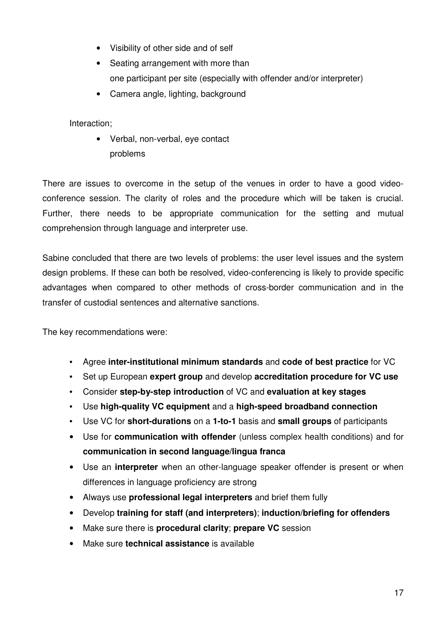- Visibility of other side and of self
- Seating arrangement with more than one participant per site (especially with offender and/or interpreter)
- Camera angle, lighting, background

Interaction;

• Verbal, non-verbal, eye contact problems

There are issues to overcome in the setup of the venues in order to have a good videoconference session. The clarity of roles and the procedure which will be taken is crucial. Further, there needs to be appropriate communication for the setting and mutual comprehension through language and interpreter use.

Sabine concluded that there are two levels of problems: the user level issues and the system design problems. If these can both be resolved, video-conferencing is likely to provide specific advantages when compared to other methods of cross-border communication and in the transfer of custodial sentences and alternative sanctions.

The key recommendations were:

- Agree **inter-institutional minimum standards** and **code of best practice** for VC
- Set up European **expert group** and develop **accreditation procedure for VC use**
- Consider **step-by-step introduction** of VC and **evaluation at key stages**
- Use **high-quality VC equipment** and a **high-speed broadband connection**
- Use VC for **short-durations** on a **1-to-1** basis and **small groups** of participants
- Use for **communication with offender** (unless complex health conditions) and for **communication in second language/lingua franca**
- Use an **interpreter** when an other-language speaker offender is present or when differences in language proficiency are strong
- Always use **professional legal interpreters** and brief them fully
- Develop **training for staff (and interpreters)**; **induction/briefing for offenders**
- Make sure there is **procedural clarity**; **prepare VC** session
- Make sure **technical assistance** is available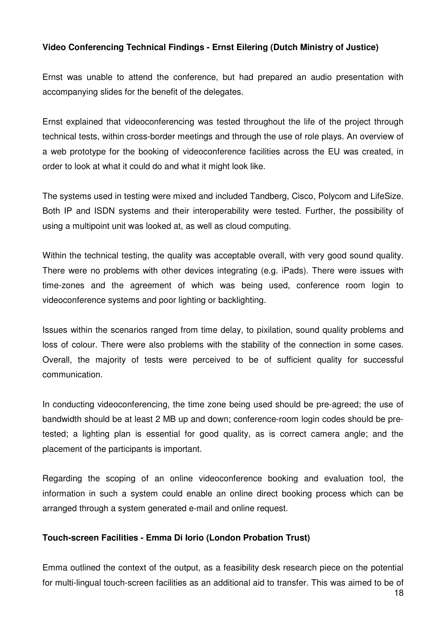#### **Video Conferencing Technical Findings - Ernst Eilering (Dutch Ministry of Justice)**

Ernst was unable to attend the conference, but had prepared an audio presentation with accompanying slides for the benefit of the delegates.

Ernst explained that videoconferencing was tested throughout the life of the project through technical tests, within cross-border meetings and through the use of role plays. An overview of a web prototype for the booking of videoconference facilities across the EU was created, in order to look at what it could do and what it might look like.

The systems used in testing were mixed and included Tandberg, Cisco, Polycom and LifeSize. Both IP and ISDN systems and their interoperability were tested. Further, the possibility of using a multipoint unit was looked at, as well as cloud computing.

Within the technical testing, the quality was acceptable overall, with very good sound quality. There were no problems with other devices integrating (e.g. iPads). There were issues with time-zones and the agreement of which was being used, conference room login to videoconference systems and poor lighting or backlighting.

Issues within the scenarios ranged from time delay, to pixilation, sound quality problems and loss of colour. There were also problems with the stability of the connection in some cases. Overall, the majority of tests were perceived to be of sufficient quality for successful communication.

In conducting videoconferencing, the time zone being used should be pre-agreed; the use of bandwidth should be at least 2 MB up and down; conference-room login codes should be pretested; a lighting plan is essential for good quality, as is correct camera angle; and the placement of the participants is important.

Regarding the scoping of an online videoconference booking and evaluation tool, the information in such a system could enable an online direct booking process which can be arranged through a system generated e-mail and online request.

#### **Touch-screen Facilities - Emma Di Iorio (London Probation Trust)**

Emma outlined the context of the output, as a feasibility desk research piece on the potential for multi-lingual touch-screen facilities as an additional aid to transfer. This was aimed to be of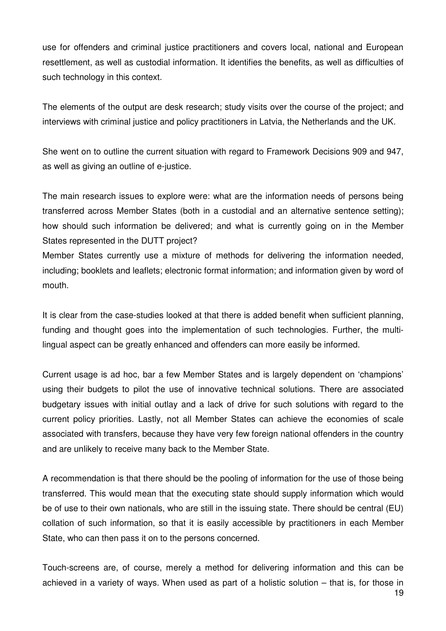use for offenders and criminal justice practitioners and covers local, national and European resettlement, as well as custodial information. It identifies the benefits, as well as difficulties of such technology in this context.

The elements of the output are desk research; study visits over the course of the project; and interviews with criminal justice and policy practitioners in Latvia, the Netherlands and the UK.

She went on to outline the current situation with regard to Framework Decisions 909 and 947, as well as giving an outline of e-justice.

The main research issues to explore were: what are the information needs of persons being transferred across Member States (both in a custodial and an alternative sentence setting); how should such information be delivered; and what is currently going on in the Member States represented in the DUTT project?

Member States currently use a mixture of methods for delivering the information needed, including; booklets and leaflets; electronic format information; and information given by word of mouth.

It is clear from the case-studies looked at that there is added benefit when sufficient planning, funding and thought goes into the implementation of such technologies. Further, the multilingual aspect can be greatly enhanced and offenders can more easily be informed.

Current usage is ad hoc, bar a few Member States and is largely dependent on 'champions' using their budgets to pilot the use of innovative technical solutions. There are associated budgetary issues with initial outlay and a lack of drive for such solutions with regard to the current policy priorities. Lastly, not all Member States can achieve the economies of scale associated with transfers, because they have very few foreign national offenders in the country and are unlikely to receive many back to the Member State.

A recommendation is that there should be the pooling of information for the use of those being transferred. This would mean that the executing state should supply information which would be of use to their own nationals, who are still in the issuing state. There should be central (EU) collation of such information, so that it is easily accessible by practitioners in each Member State, who can then pass it on to the persons concerned.

Touch-screens are, of course, merely a method for delivering information and this can be achieved in a variety of ways. When used as part of a holistic solution – that is, for those in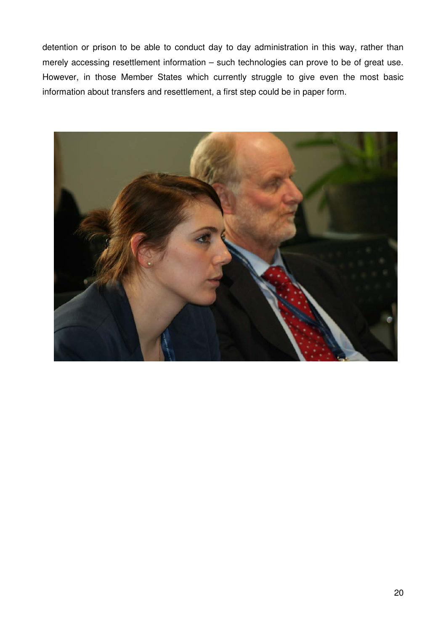detention or prison to be able to conduct day to day administration in this way, rather than merely accessing resettlement information – such technologies can prove to be of great use. However, in those Member States which currently struggle to give even the most basic information about transfers and resettlement, a first step could be in paper form.

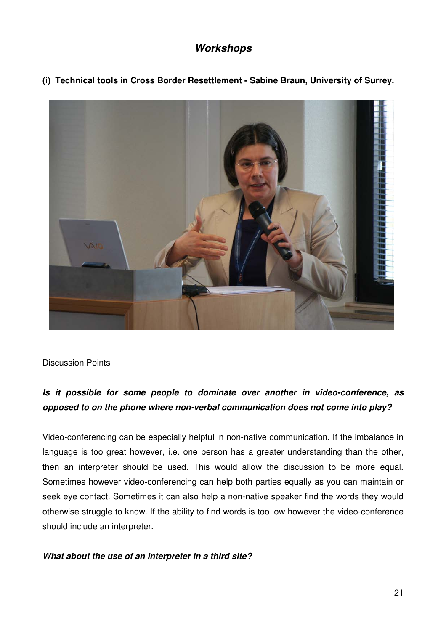## **Workshops**

**(i) Technical tools in Cross Border Resettlement - Sabine Braun, University of Surrey.** 



Discussion Points

## **Is it possible for some people to dominate over another in video-conference, as opposed to on the phone where non-verbal communication does not come into play?**

Video-conferencing can be especially helpful in non-native communication. If the imbalance in language is too great however, i.e. one person has a greater understanding than the other, then an interpreter should be used. This would allow the discussion to be more equal. Sometimes however video-conferencing can help both parties equally as you can maintain or seek eye contact. Sometimes it can also help a non-native speaker find the words they would otherwise struggle to know. If the ability to find words is too low however the video-conference should include an interpreter.

#### **What about the use of an interpreter in a third site?**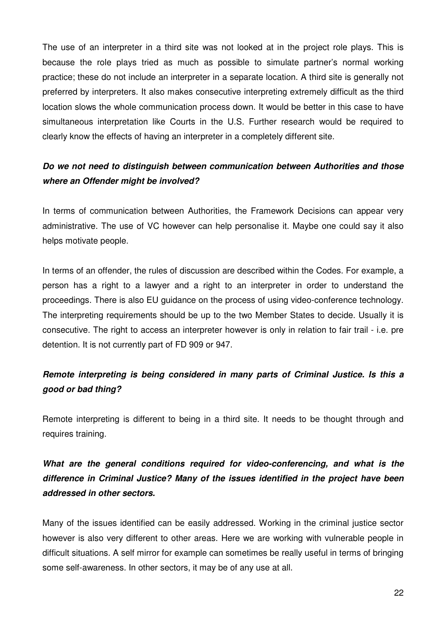The use of an interpreter in a third site was not looked at in the project role plays. This is because the role plays tried as much as possible to simulate partner's normal working practice; these do not include an interpreter in a separate location. A third site is generally not preferred by interpreters. It also makes consecutive interpreting extremely difficult as the third location slows the whole communication process down. It would be better in this case to have simultaneous interpretation like Courts in the U.S. Further research would be required to clearly know the effects of having an interpreter in a completely different site.

## **Do we not need to distinguish between communication between Authorities and those where an Offender might be involved?**

In terms of communication between Authorities, the Framework Decisions can appear very administrative. The use of VC however can help personalise it. Maybe one could say it also helps motivate people.

In terms of an offender, the rules of discussion are described within the Codes. For example, a person has a right to a lawyer and a right to an interpreter in order to understand the proceedings. There is also EU guidance on the process of using video-conference technology. The interpreting requirements should be up to the two Member States to decide. Usually it is consecutive. The right to access an interpreter however is only in relation to fair trail - i.e. pre detention. It is not currently part of FD 909 or 947.

## **Remote interpreting is being considered in many parts of Criminal Justice. Is this a good or bad thing?**

Remote interpreting is different to being in a third site. It needs to be thought through and requires training.

## **What are the general conditions required for video-conferencing, and what is the difference in Criminal Justice? Many of the issues identified in the project have been addressed in other sectors.**

Many of the issues identified can be easily addressed. Working in the criminal justice sector however is also very different to other areas. Here we are working with vulnerable people in difficult situations. A self mirror for example can sometimes be really useful in terms of bringing some self-awareness. In other sectors, it may be of any use at all.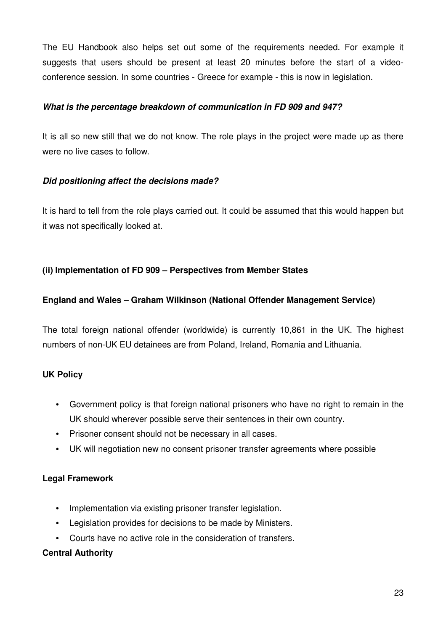The EU Handbook also helps set out some of the requirements needed. For example it suggests that users should be present at least 20 minutes before the start of a videoconference session. In some countries - Greece for example - this is now in legislation.

#### **What is the percentage breakdown of communication in FD 909 and 947?**

It is all so new still that we do not know. The role plays in the project were made up as there were no live cases to follow.

#### **Did positioning affect the decisions made?**

It is hard to tell from the role plays carried out. It could be assumed that this would happen but it was not specifically looked at.

#### **(ii) Implementation of FD 909 – Perspectives from Member States**

#### **England and Wales – Graham Wilkinson (National Offender Management Service)**

The total foreign national offender (worldwide) is currently 10,861 in the UK. The highest numbers of non-UK EU detainees are from Poland, Ireland, Romania and Lithuania.

#### **UK Policy**

- Government policy is that foreign national prisoners who have no right to remain in the UK should wherever possible serve their sentences in their own country.
- Prisoner consent should not be necessary in all cases.
- UK will negotiation new no consent prisoner transfer agreements where possible

#### **Legal Framework**

- Implementation via existing prisoner transfer legislation.
- Legislation provides for decisions to be made by Ministers.
- Courts have no active role in the consideration of transfers.

#### **Central Authority**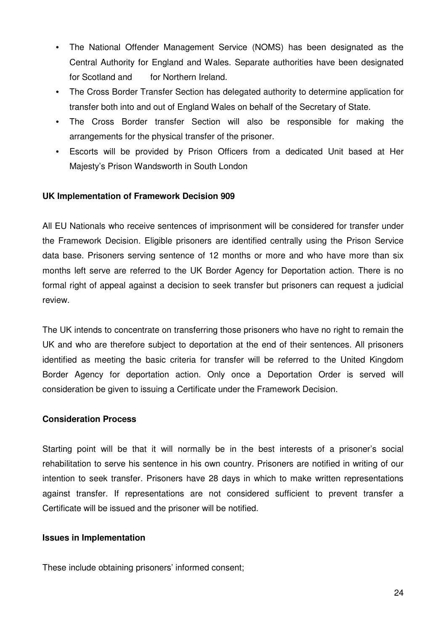- The National Offender Management Service (NOMS) has been designated as the Central Authority for England and Wales. Separate authorities have been designated for Scotland and for Northern Ireland.
- The Cross Border Transfer Section has delegated authority to determine application for transfer both into and out of England Wales on behalf of the Secretary of State.
- The Cross Border transfer Section will also be responsible for making the arrangements for the physical transfer of the prisoner.
- Escorts will be provided by Prison Officers from a dedicated Unit based at Her Majesty's Prison Wandsworth in South London

#### **UK Implementation of Framework Decision 909**

All EU Nationals who receive sentences of imprisonment will be considered for transfer under the Framework Decision. Eligible prisoners are identified centrally using the Prison Service data base. Prisoners serving sentence of 12 months or more and who have more than six months left serve are referred to the UK Border Agency for Deportation action. There is no formal right of appeal against a decision to seek transfer but prisoners can request a judicial review.

The UK intends to concentrate on transferring those prisoners who have no right to remain the UK and who are therefore subject to deportation at the end of their sentences. All prisoners identified as meeting the basic criteria for transfer will be referred to the United Kingdom Border Agency for deportation action. Only once a Deportation Order is served will consideration be given to issuing a Certificate under the Framework Decision.

#### **Consideration Process**

Starting point will be that it will normally be in the best interests of a prisoner's social rehabilitation to serve his sentence in his own country. Prisoners are notified in writing of our intention to seek transfer. Prisoners have 28 days in which to make written representations against transfer. If representations are not considered sufficient to prevent transfer a Certificate will be issued and the prisoner will be notified.

#### **Issues in Implementation**

These include obtaining prisoners' informed consent;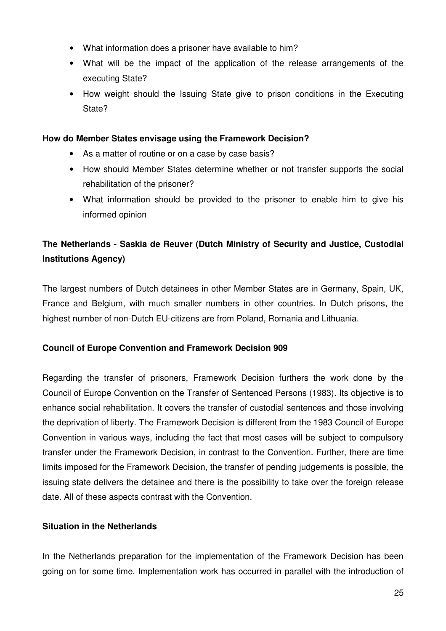- What information does a prisoner have available to him?
- What will be the impact of the application of the release arrangements of the executing State?
- How weight should the Issuing State give to prison conditions in the Executing State?

#### **How do Member States envisage using the Framework Decision?**

- As a matter of routine or on a case by case basis?
- How should Member States determine whether or not transfer supports the social rehabilitation of the prisoner?
- What information should be provided to the prisoner to enable him to give his informed opinion

## **The Netherlands - Saskia de Reuver (Dutch Ministry of Security and Justice, Custodial Institutions Agency)**

The largest numbers of Dutch detainees in other Member States are in Germany, Spain, UK, France and Belgium, with much smaller numbers in other countries. In Dutch prisons, the highest number of non-Dutch EU-citizens are from Poland, Romania and Lithuania.

#### **Council of Europe Convention and Framework Decision 909**

Regarding the transfer of prisoners, Framework Decision furthers the work done by the Council of Europe Convention on the Transfer of Sentenced Persons (1983). Its objective is to enhance social rehabilitation. It covers the transfer of custodial sentences and those involving the deprivation of liberty. The Framework Decision is different from the 1983 Council of Europe Convention in various ways, including the fact that most cases will be subject to compulsory transfer under the Framework Decision, in contrast to the Convention. Further, there are time limits imposed for the Framework Decision, the transfer of pending judgements is possible, the issuing state delivers the detainee and there is the possibility to take over the foreign release date. All of these aspects contrast with the Convention.

#### **Situation in the Netherlands**

In the Netherlands preparation for the implementation of the Framework Decision has been going on for some time. Implementation work has occurred in parallel with the introduction of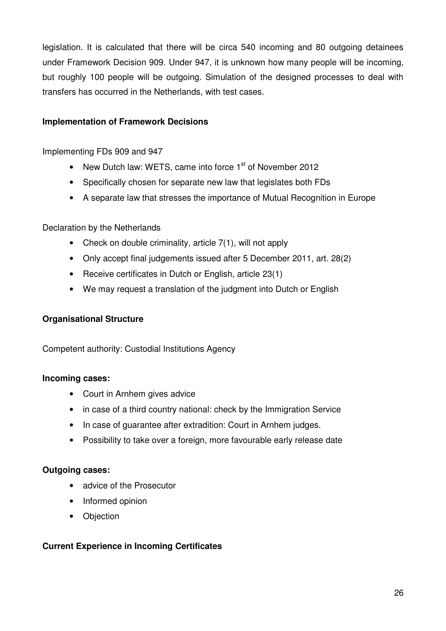legislation. It is calculated that there will be circa 540 incoming and 80 outgoing detainees under Framework Decision 909. Under 947, it is unknown how many people will be incoming, but roughly 100 people will be outgoing. Simulation of the designed processes to deal with transfers has occurred in the Netherlands, with test cases.

#### **Implementation of Framework Decisions**

#### Implementing FDs 909 and 947

- New Dutch law: WETS, came into force  $1<sup>st</sup>$  of November 2012
- Specifically chosen for separate new law that legislates both FDs
- A separate law that stresses the importance of Mutual Recognition in Europe

#### Declaration by the Netherlands

- Check on double criminality, article 7(1), will not apply
- Only accept final judgements issued after 5 December 2011, art. 28(2)
- Receive certificates in Dutch or English, article 23(1)
- We may request a translation of the judgment into Dutch or English

#### **Organisational Structure**

Competent authority: Custodial Institutions Agency

#### **Incoming cases:**

- Court in Arnhem gives advice
- in case of a third country national: check by the Immigration Service
- In case of guarantee after extradition: Court in Arnhem judges.
- Possibility to take over a foreign, more favourable early release date

#### **Outgoing cases:**

- advice of the Prosecutor
- Informed opinion
- Objection

#### **Current Experience in Incoming Certificates**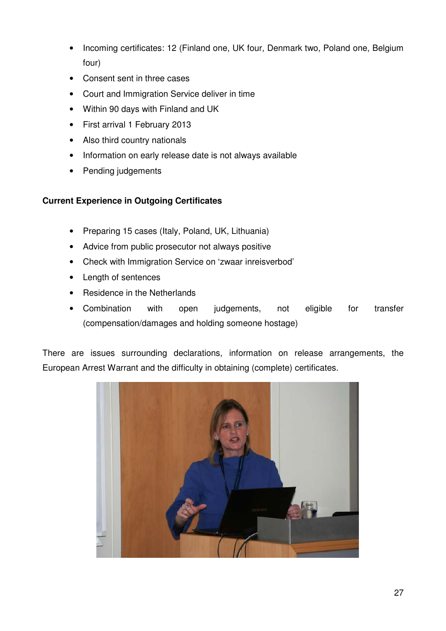- Incoming certificates: 12 (Finland one, UK four, Denmark two, Poland one, Belgium four)
- Consent sent in three cases
- Court and Immigration Service deliver in time
- Within 90 days with Finland and UK
- First arrival 1 February 2013
- Also third country nationals
- Information on early release date is not always available
- Pending judgements

#### **Current Experience in Outgoing Certificates**

- Preparing 15 cases (Italy, Poland, UK, Lithuania)
- Advice from public prosecutor not always positive
- Check with Immigration Service on 'zwaar inreisverbod'
- Length of sentences
- Residence in the Netherlands
- Combination with open judgements, not eligible for transfer (compensation/damages and holding someone hostage)

There are issues surrounding declarations, information on release arrangements, the European Arrest Warrant and the difficulty in obtaining (complete) certificates.

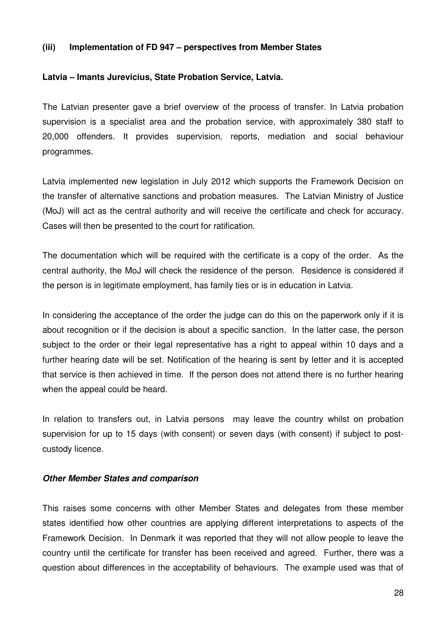#### **(iii) Implementation of FD 947 – perspectives from Member States**

#### **Latvia – Imants Jurevicius, State Probation Service, Latvia.**

The Latvian presenter gave a brief overview of the process of transfer. In Latvia probation supervision is a specialist area and the probation service, with approximately 380 staff to 20,000 offenders. It provides supervision, reports, mediation and social behaviour programmes.

Latvia implemented new legislation in July 2012 which supports the Framework Decision on the transfer of alternative sanctions and probation measures. The Latvian Ministry of Justice (MoJ) will act as the central authority and will receive the certificate and check for accuracy. Cases will then be presented to the court for ratification.

The documentation which will be required with the certificate is a copy of the order. As the central authority, the MoJ will check the residence of the person. Residence is considered if the person is in legitimate employment, has family ties or is in education in Latvia.

In considering the acceptance of the order the judge can do this on the paperwork only if it is about recognition or if the decision is about a specific sanction. In the latter case, the person subject to the order or their legal representative has a right to appeal within 10 days and a further hearing date will be set. Notification of the hearing is sent by letter and it is accepted that service is then achieved in time. If the person does not attend there is no further hearing when the appeal could be heard.

In relation to transfers out, in Latvia persons may leave the country whilst on probation supervision for up to 15 days (with consent) or seven days (with consent) if subject to postcustody licence.

#### **Other Member States and comparison**

This raises some concerns with other Member States and delegates from these member states identified how other countries are applying different interpretations to aspects of the Framework Decision. In Denmark it was reported that they will not allow people to leave the country until the certificate for transfer has been received and agreed. Further, there was a question about differences in the acceptability of behaviours. The example used was that of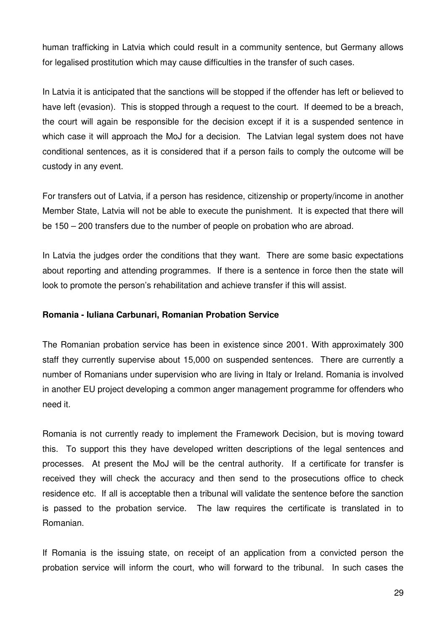human trafficking in Latvia which could result in a community sentence, but Germany allows for legalised prostitution which may cause difficulties in the transfer of such cases.

In Latvia it is anticipated that the sanctions will be stopped if the offender has left or believed to have left (evasion). This is stopped through a request to the court. If deemed to be a breach, the court will again be responsible for the decision except if it is a suspended sentence in which case it will approach the MoJ for a decision. The Latvian legal system does not have conditional sentences, as it is considered that if a person fails to comply the outcome will be custody in any event.

For transfers out of Latvia, if a person has residence, citizenship or property/income in another Member State, Latvia will not be able to execute the punishment. It is expected that there will be 150 – 200 transfers due to the number of people on probation who are abroad.

In Latvia the judges order the conditions that they want. There are some basic expectations about reporting and attending programmes. If there is a sentence in force then the state will look to promote the person's rehabilitation and achieve transfer if this will assist.

#### **Romania - Iuliana Carbunari, Romanian Probation Service**

The Romanian probation service has been in existence since 2001. With approximately 300 staff they currently supervise about 15,000 on suspended sentences. There are currently a number of Romanians under supervision who are living in Italy or Ireland. Romania is involved in another EU project developing a common anger management programme for offenders who need it.

Romania is not currently ready to implement the Framework Decision, but is moving toward this. To support this they have developed written descriptions of the legal sentences and processes. At present the MoJ will be the central authority. If a certificate for transfer is received they will check the accuracy and then send to the prosecutions office to check residence etc. If all is acceptable then a tribunal will validate the sentence before the sanction is passed to the probation service. The law requires the certificate is translated in to Romanian.

If Romania is the issuing state, on receipt of an application from a convicted person the probation service will inform the court, who will forward to the tribunal. In such cases the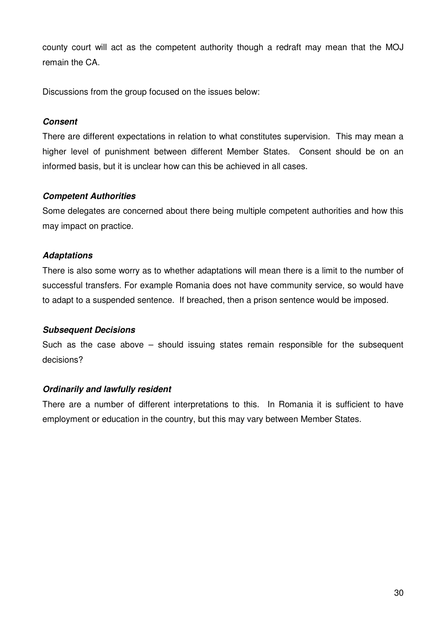county court will act as the competent authority though a redraft may mean that the MOJ remain the CA.

Discussions from the group focused on the issues below:

#### **Consent**

There are different expectations in relation to what constitutes supervision. This may mean a higher level of punishment between different Member States. Consent should be on an informed basis, but it is unclear how can this be achieved in all cases.

#### **Competent Authorities**

Some delegates are concerned about there being multiple competent authorities and how this may impact on practice.

#### **Adaptations**

There is also some worry as to whether adaptations will mean there is a limit to the number of successful transfers. For example Romania does not have community service, so would have to adapt to a suspended sentence. If breached, then a prison sentence would be imposed.

#### **Subsequent Decisions**

Such as the case above – should issuing states remain responsible for the subsequent decisions?

#### **Ordinarily and lawfully resident**

There are a number of different interpretations to this. In Romania it is sufficient to have employment or education in the country, but this may vary between Member States.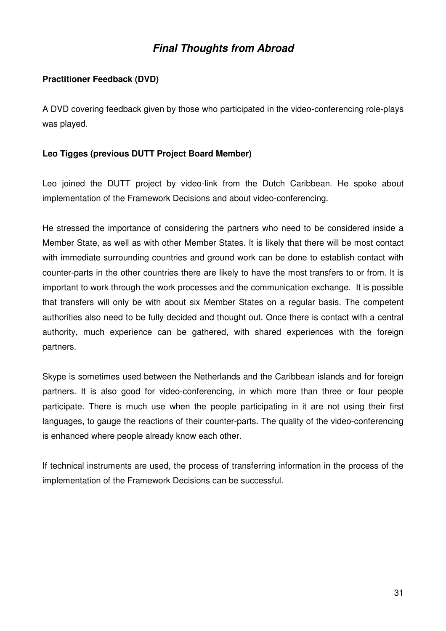## **Final Thoughts from Abroad**

#### **Practitioner Feedback (DVD)**

A DVD covering feedback given by those who participated in the video-conferencing role-plays was played.

#### **Leo Tigges (previous DUTT Project Board Member)**

Leo joined the DUTT project by video-link from the Dutch Caribbean. He spoke about implementation of the Framework Decisions and about video-conferencing.

He stressed the importance of considering the partners who need to be considered inside a Member State, as well as with other Member States. It is likely that there will be most contact with immediate surrounding countries and ground work can be done to establish contact with counter-parts in the other countries there are likely to have the most transfers to or from. It is important to work through the work processes and the communication exchange. It is possible that transfers will only be with about six Member States on a regular basis. The competent authorities also need to be fully decided and thought out. Once there is contact with a central authority, much experience can be gathered, with shared experiences with the foreign partners.

Skype is sometimes used between the Netherlands and the Caribbean islands and for foreign partners. It is also good for video-conferencing, in which more than three or four people participate. There is much use when the people participating in it are not using their first languages, to gauge the reactions of their counter-parts. The quality of the video-conferencing is enhanced where people already know each other.

If technical instruments are used, the process of transferring information in the process of the implementation of the Framework Decisions can be successful.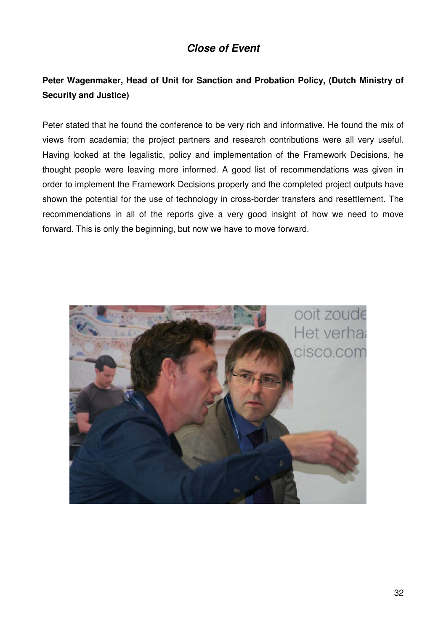## **Close of Event**

## **Peter Wagenmaker, Head of Unit for Sanction and Probation Policy, (Dutch Ministry of Security and Justice)**

Peter stated that he found the conference to be very rich and informative. He found the mix of views from academia; the project partners and research contributions were all very useful. Having looked at the legalistic, policy and implementation of the Framework Decisions, he thought people were leaving more informed. A good list of recommendations was given in order to implement the Framework Decisions properly and the completed project outputs have shown the potential for the use of technology in cross-border transfers and resettlement. The recommendations in all of the reports give a very good insight of how we need to move forward. This is only the beginning, but now we have to move forward.

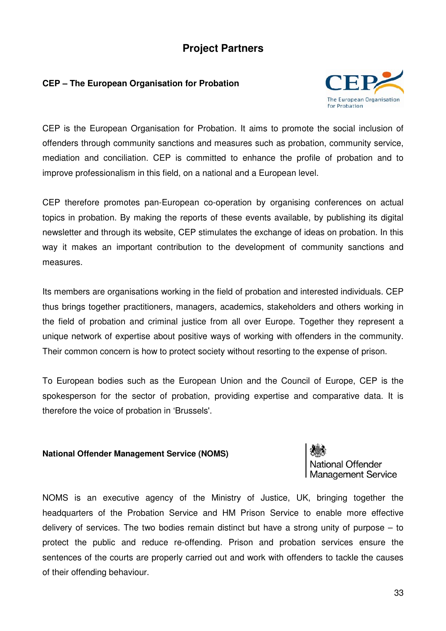## **Project Partners**

#### **CEP – The European Organisation for Probation**



CEP is the European Organisation for Probation. It aims to promote the social inclusion of offenders through community sanctions and measures such as probation, community service, mediation and conciliation. CEP is committed to enhance the profile of probation and to improve professionalism in this field, on a national and a European level.

CEP therefore promotes pan-European co-operation by organising conferences on actual topics in probation. By making the reports of these events available, by publishing its digital newsletter and through its website, CEP stimulates the exchange of ideas on probation. In this way it makes an important contribution to the development of community sanctions and measures.

Its members are organisations working in the field of probation and interested individuals. CEP thus brings together practitioners, managers, academics, stakeholders and others working in the field of probation and criminal justice from all over Europe. Together they represent a unique network of expertise about positive ways of working with offenders in the community. Their common concern is how to protect society without resorting to the expense of prison.

To European bodies such as the European Union and the Council of Europe, CEP is the spokesperson for the sector of probation, providing expertise and comparative data. It is therefore the voice of probation in 'Brussels'.

#### **National Offender Management Service (NOMS)**



NOMS is an executive agency of the Ministry of Justice, UK, bringing together the headquarters of the Probation Service and HM Prison Service to enable more effective delivery of services. The two bodies remain distinct but have a strong unity of purpose – to protect the public and reduce re-offending. Prison and probation services ensure the sentences of the courts are properly carried out and work with offenders to tackle the causes of their offending behaviour.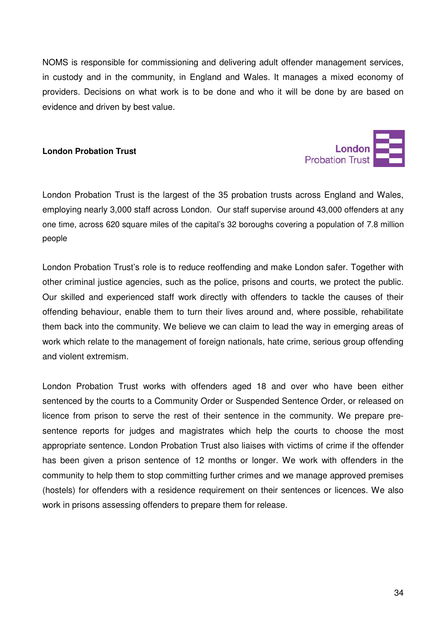NOMS is responsible for commissioning and delivering adult offender management services, in custody and in the community, in England and Wales. It manages a mixed economy of providers. Decisions on what work is to be done and who it will be done by are based on evidence and driven by best value.

#### **London Probation Trust**



London Probation Trust is the largest of the 35 probation trusts across England and Wales, employing nearly 3,000 staff across London. Our staff supervise around 43,000 offenders at any one time, across 620 square miles of the capital's 32 boroughs covering a population of 7.8 million people

London Probation Trust's role is to reduce reoffending and make London safer. Together with other criminal justice agencies, such as the police, prisons and courts, we protect the public. Our skilled and experienced staff work directly with offenders to tackle the causes of their offending behaviour, enable them to turn their lives around and, where possible, rehabilitate them back into the community. We believe we can claim to lead the way in emerging areas of work which relate to the management of foreign nationals, hate crime, serious group offending and violent extremism.

London Probation Trust works with offenders aged 18 and over who have been either sentenced by the courts to a Community Order or Suspended Sentence Order, or released on licence from prison to serve the rest of their sentence in the community. We prepare presentence reports for judges and magistrates which help the courts to choose the most appropriate sentence. London Probation Trust also liaises with victims of crime if the offender has been given a prison sentence of 12 months or longer. We work with offenders in the community to help them to stop committing further crimes and we manage approved premises (hostels) for offenders with a residence requirement on their sentences or licences. We also work in prisons assessing offenders to prepare them for release.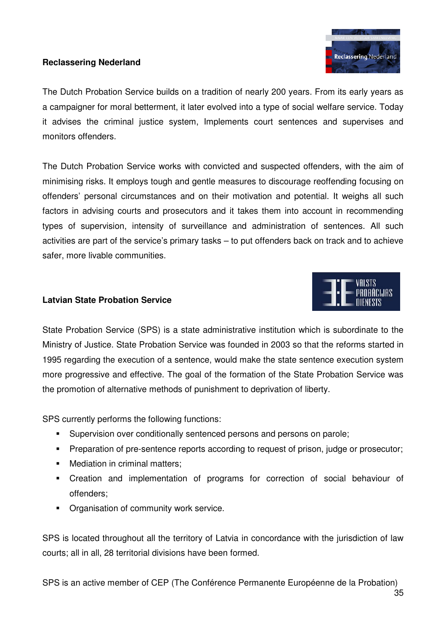#### **Reclassering Nederland**



The Dutch Probation Service builds on a tradition of nearly 200 years. From its early years as a campaigner for moral betterment, it later evolved into a type of social welfare service. Today it advises the criminal justice system, Implements court sentences and supervises and monitors offenders.

The Dutch Probation Service works with convicted and suspected offenders, with the aim of minimising risks. It employs tough and gentle measures to discourage reoffending focusing on offenders' personal circumstances and on their motivation and potential. It weighs all such factors in advising courts and prosecutors and it takes them into account in recommending types of supervision, intensity of surveillance and administration of sentences. All such activities are part of the service's primary tasks – to put offenders back on track and to achieve safer, more livable communities.

#### **Latvian State Probation Service**



SPS currently performs the following functions:

- -Supervision over conditionally sentenced persons and persons on parole;
- -Preparation of pre-sentence reports according to request of prison, judge or prosecutor;
- -Mediation in criminal matters;
- - Creation and implementation of programs for correction of social behaviour of offenders;
- **Organisation of community work service.**

SPS is located throughout all the territory of Latvia in concordance with the jurisdiction of law courts; all in all, 28 territorial divisions have been formed.

SPS is an active member of CEP (The Conférence Permanente Européenne de la Probation)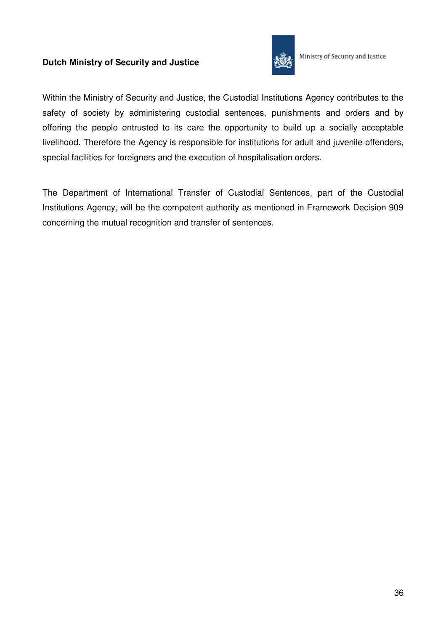#### **Dutch Ministry of Security and Justice**



Ministry of Security and Justice

Within the Ministry of Security and Justice, the Custodial Institutions Agency contributes to the safety of society by administering custodial sentences, punishments and orders and by offering the people entrusted to its care the opportunity to build up a socially acceptable livelihood. Therefore the Agency is responsible for institutions for adult and juvenile offenders, special facilities for foreigners and the execution of hospitalisation orders.

The Department of International Transfer of Custodial Sentences, part of the Custodial Institutions Agency, will be the competent authority as mentioned in Framework Decision 909 concerning the mutual recognition and transfer of sentences.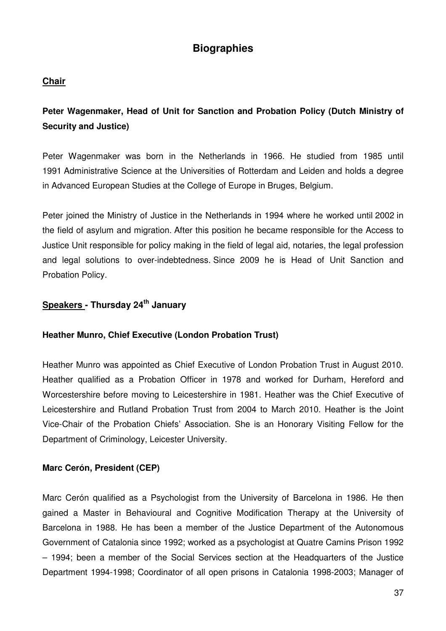## **Biographies**

#### **Chair**

**Peter Wagenmaker, Head of Unit for Sanction and Probation Policy (Dutch Ministry of Security and Justice)** 

Peter Wagenmaker was born in the Netherlands in 1966. He studied from 1985 until 1991 Administrative Science at the Universities of Rotterdam and Leiden and holds a degree in Advanced European Studies at the College of Europe in Bruges, Belgium.

Peter joined the Ministry of Justice in the Netherlands in 1994 where he worked until 2002 in the field of asylum and migration. After this position he became responsible for the Access to Justice Unit responsible for policy making in the field of legal aid, notaries, the legal profession and legal solutions to over-indebtedness. Since 2009 he is Head of Unit Sanction and Probation Policy.

## **Speakers - Thursday 24th January**

#### **Heather Munro, Chief Executive (London Probation Trust)**

Heather Munro was appointed as Chief Executive of London Probation Trust in August 2010. Heather qualified as a Probation Officer in 1978 and worked for Durham, Hereford and Worcestershire before moving to Leicestershire in 1981. Heather was the Chief Executive of Leicestershire and Rutland Probation Trust from 2004 to March 2010. Heather is the Joint Vice-Chair of the Probation Chiefs' Association. She is an Honorary Visiting Fellow for the Department of Criminology, Leicester University.

#### **Marc Cerón, President (CEP)**

Marc Cerón qualified as a Psychologist from the University of Barcelona in 1986. He then gained a Master in Behavioural and Cognitive Modification Therapy at the University of Barcelona in 1988. He has been a member of the Justice Department of the Autonomous Government of Catalonia since 1992; worked as a psychologist at Quatre Camins Prison 1992 – 1994; been a member of the Social Services section at the Headquarters of the Justice Department 1994-1998; Coordinator of all open prisons in Catalonia 1998-2003; Manager of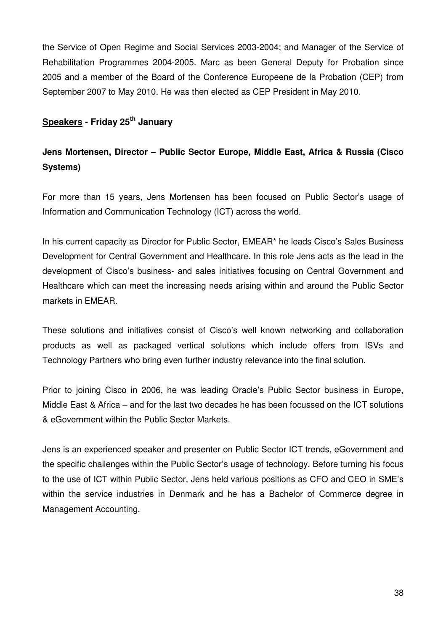the Service of Open Regime and Social Services 2003-2004; and Manager of the Service of Rehabilitation Programmes 2004-2005. Marc as been General Deputy for Probation since 2005 and a member of the Board of the Conference Europeene de la Probation (CEP) from September 2007 to May 2010. He was then elected as CEP President in May 2010.

## **Speakers - Friday 25th January**

## **Jens Mortensen, Director – Public Sector Europe, Middle East, Africa & Russia (Cisco Systems)**

For more than 15 years, Jens Mortensen has been focused on Public Sector's usage of Information and Communication Technology (ICT) across the world.

In his current capacity as Director for Public Sector, EMEAR\* he leads Cisco's Sales Business Development for Central Government and Healthcare. In this role Jens acts as the lead in the development of Cisco's business- and sales initiatives focusing on Central Government and Healthcare which can meet the increasing needs arising within and around the Public Sector markets in EMEAR.

These solutions and initiatives consist of Cisco's well known networking and collaboration products as well as packaged vertical solutions which include offers from ISVs and Technology Partners who bring even further industry relevance into the final solution.

Prior to joining Cisco in 2006, he was leading Oracle's Public Sector business in Europe, Middle East & Africa – and for the last two decades he has been focussed on the ICT solutions & eGovernment within the Public Sector Markets.

Jens is an experienced speaker and presenter on Public Sector ICT trends, eGovernment and the specific challenges within the Public Sector's usage of technology. Before turning his focus to the use of ICT within Public Sector, Jens held various positions as CFO and CEO in SME's within the service industries in Denmark and he has a Bachelor of Commerce degree in Management Accounting.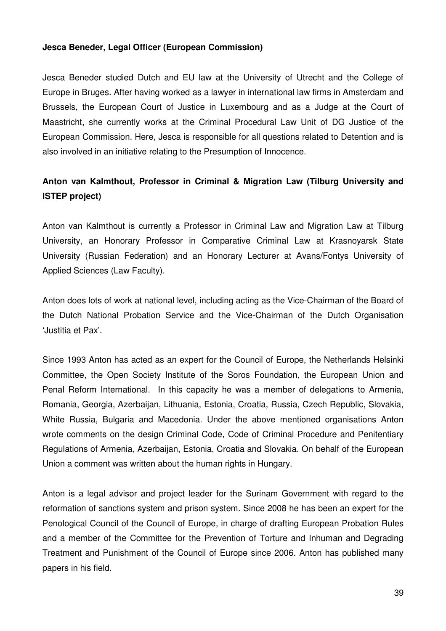#### **Jesca Beneder, Legal Officer (European Commission)**

Jesca Beneder studied Dutch and EU law at the University of Utrecht and the College of Europe in Bruges. After having worked as a lawyer in international law firms in Amsterdam and Brussels, the European Court of Justice in Luxembourg and as a Judge at the Court of Maastricht, she currently works at the Criminal Procedural Law Unit of DG Justice of the European Commission. Here, Jesca is responsible for all questions related to Detention and is also involved in an initiative relating to the Presumption of Innocence.

## **Anton van Kalmthout, Professor in Criminal & Migration Law (Tilburg University and ISTEP project)**

Anton van Kalmthout is currently a Professor in Criminal Law and Migration Law at Tilburg University, an Honorary Professor in Comparative Criminal Law at Krasnoyarsk State University (Russian Federation) and an Honorary Lecturer at Avans/Fontys University of Applied Sciences (Law Faculty).

Anton does lots of work at national level, including acting as the Vice-Chairman of the Board of the Dutch National Probation Service and the Vice-Chairman of the Dutch Organisation 'Justitia et Pax'.

Since 1993 Anton has acted as an expert for the Council of Europe, the Netherlands Helsinki Committee, the Open Society Institute of the Soros Foundation, the European Union and Penal Reform International. In this capacity he was a member of delegations to Armenia, Romania, Georgia, Azerbaijan, Lithuania, Estonia, Croatia, Russia, Czech Republic, Slovakia, White Russia, Bulgaria and Macedonia. Under the above mentioned organisations Anton wrote comments on the design Criminal Code, Code of Criminal Procedure and Penitentiary Regulations of Armenia, Azerbaijan, Estonia, Croatia and Slovakia. On behalf of the European Union a comment was written about the human rights in Hungary.

Anton is a legal advisor and project leader for the Surinam Government with regard to the reformation of sanctions system and prison system. Since 2008 he has been an expert for the Penological Council of the Council of Europe, in charge of drafting European Probation Rules and a member of the Committee for the Prevention of Torture and Inhuman and Degrading Treatment and Punishment of the Council of Europe since 2006. Anton has published many papers in his field.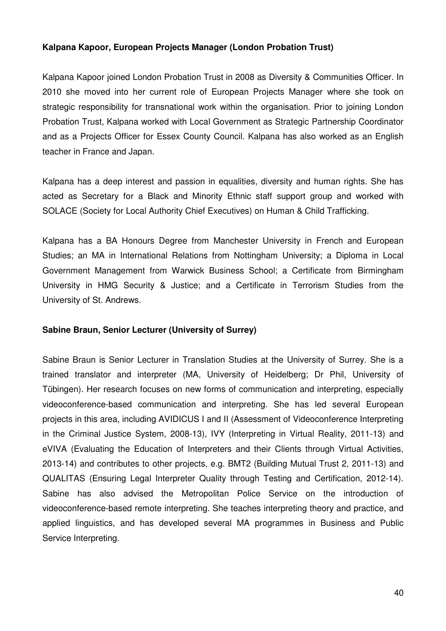#### **Kalpana Kapoor, European Projects Manager (London Probation Trust)**

Kalpana Kapoor joined London Probation Trust in 2008 as Diversity & Communities Officer. In 2010 she moved into her current role of European Projects Manager where she took on strategic responsibility for transnational work within the organisation. Prior to joining London Probation Trust, Kalpana worked with Local Government as Strategic Partnership Coordinator and as a Projects Officer for Essex County Council. Kalpana has also worked as an English teacher in France and Japan.

Kalpana has a deep interest and passion in equalities, diversity and human rights. She has acted as Secretary for a Black and Minority Ethnic staff support group and worked with SOLACE (Society for Local Authority Chief Executives) on Human & Child Trafficking.

Kalpana has a BA Honours Degree from Manchester University in French and European Studies; an MA in International Relations from Nottingham University; a Diploma in Local Government Management from Warwick Business School; a Certificate from Birmingham University in HMG Security & Justice; and a Certificate in Terrorism Studies from the University of St. Andrews.

#### **Sabine Braun, Senior Lecturer (University of Surrey)**

Sabine Braun is Senior Lecturer in Translation Studies at the University of Surrey. She is a trained translator and interpreter (MA, University of Heidelberg; Dr Phil, University of Tübingen). Her research focuses on new forms of communication and interpreting, especially videoconference-based communication and interpreting. She has led several European projects in this area, including AVIDICUS I and II (Assessment of Videoconference Interpreting in the Criminal Justice System, 2008-13), IVY (Interpreting in Virtual Reality, 2011-13) and eVIVA (Evaluating the Education of Interpreters and their Clients through Virtual Activities, 2013-14) and contributes to other projects, e.g. BMT2 (Building Mutual Trust 2, 2011-13) and QUALITAS (Ensuring Legal Interpreter Quality through Testing and Certification, 2012-14). Sabine has also advised the Metropolitan Police Service on the introduction of videoconference-based remote interpreting. She teaches interpreting theory and practice, and applied linguistics, and has developed several MA programmes in Business and Public Service Interpreting.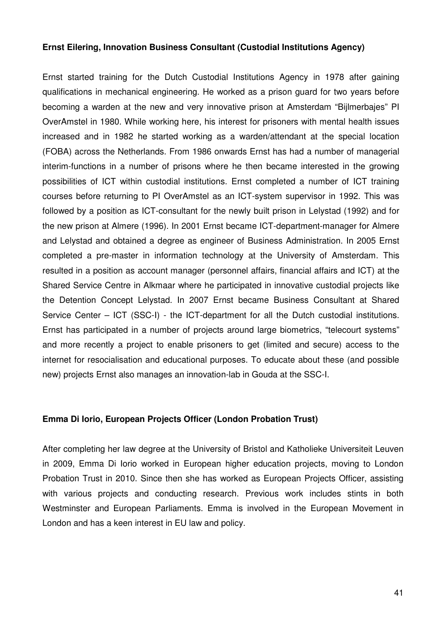#### **Ernst Eilering, Innovation Business Consultant (Custodial Institutions Agency)**

Ernst started training for the Dutch Custodial Institutions Agency in 1978 after gaining qualifications in mechanical engineering. He worked as a prison guard for two years before becoming a warden at the new and very innovative prison at Amsterdam "Bijlmerbajes" PI OverAmstel in 1980. While working here, his interest for prisoners with mental health issues increased and in 1982 he started working as a warden/attendant at the special location (FOBA) across the Netherlands. From 1986 onwards Ernst has had a number of managerial interim-functions in a number of prisons where he then became interested in the growing possibilities of ICT within custodial institutions. Ernst completed a number of ICT training courses before returning to PI OverAmstel as an ICT-system supervisor in 1992. This was followed by a position as ICT-consultant for the newly built prison in Lelystad (1992) and for the new prison at Almere (1996). In 2001 Ernst became ICT-department-manager for Almere and Lelystad and obtained a degree as engineer of Business Administration. In 2005 Ernst completed a pre-master in information technology at the University of Amsterdam. This resulted in a position as account manager (personnel affairs, financial affairs and ICT) at the Shared Service Centre in Alkmaar where he participated in innovative custodial projects like the Detention Concept Lelystad. In 2007 Ernst became Business Consultant at Shared Service Center – ICT (SSC-I) - the ICT-department for all the Dutch custodial institutions. Ernst has participated in a number of projects around large biometrics, "telecourt systems" and more recently a project to enable prisoners to get (limited and secure) access to the internet for resocialisation and educational purposes. To educate about these (and possible new) projects Ernst also manages an innovation-lab in Gouda at the SSC-I.

#### **Emma Di Iorio, European Projects Officer (London Probation Trust)**

After completing her law degree at the University of Bristol and Katholieke Universiteit Leuven in 2009, Emma Di Iorio worked in European higher education projects, moving to London Probation Trust in 2010. Since then she has worked as European Projects Officer, assisting with various projects and conducting research. Previous work includes stints in both Westminster and European Parliaments. Emma is involved in the European Movement in London and has a keen interest in EU law and policy.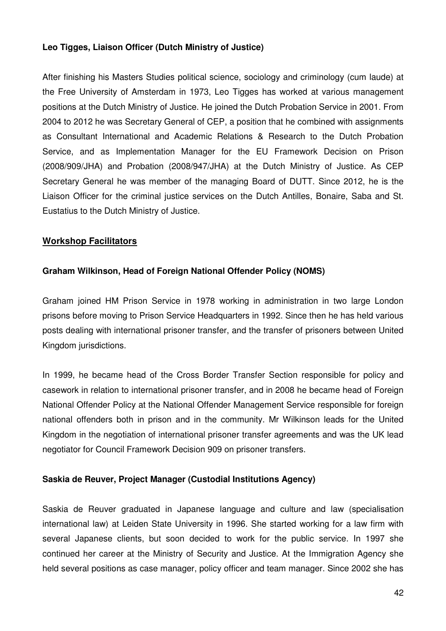#### **Leo Tigges, Liaison Officer (Dutch Ministry of Justice)**

After finishing his Masters Studies political science, sociology and criminology (cum laude) at the Free University of Amsterdam in 1973, Leo Tigges has worked at various management positions at the Dutch Ministry of Justice. He joined the Dutch Probation Service in 2001. From 2004 to 2012 he was Secretary General of CEP, a position that he combined with assignments as Consultant International and Academic Relations & Research to the Dutch Probation Service, and as Implementation Manager for the EU Framework Decision on Prison (2008/909/JHA) and Probation (2008/947/JHA) at the Dutch Ministry of Justice. As CEP Secretary General he was member of the managing Board of DUTT. Since 2012, he is the Liaison Officer for the criminal justice services on the Dutch Antilles, Bonaire, Saba and St. Eustatius to the Dutch Ministry of Justice.

#### **Workshop Facilitators**

#### **Graham Wilkinson, Head of Foreign National Offender Policy (NOMS)**

Graham joined HM Prison Service in 1978 working in administration in two large London prisons before moving to Prison Service Headquarters in 1992. Since then he has held various posts dealing with international prisoner transfer, and the transfer of prisoners between United Kingdom jurisdictions.

In 1999, he became head of the Cross Border Transfer Section responsible for policy and casework in relation to international prisoner transfer, and in 2008 he became head of Foreign National Offender Policy at the National Offender Management Service responsible for foreign national offenders both in prison and in the community. Mr Wilkinson leads for the United Kingdom in the negotiation of international prisoner transfer agreements and was the UK lead negotiator for Council Framework Decision 909 on prisoner transfers.

#### **Saskia de Reuver, Project Manager (Custodial Institutions Agency)**

Saskia de Reuver graduated in Japanese language and culture and law (specialisation international law) at Leiden State University in 1996. She started working for a law firm with several Japanese clients, but soon decided to work for the public service. In 1997 she continued her career at the Ministry of Security and Justice. At the Immigration Agency she held several positions as case manager, policy officer and team manager. Since 2002 she has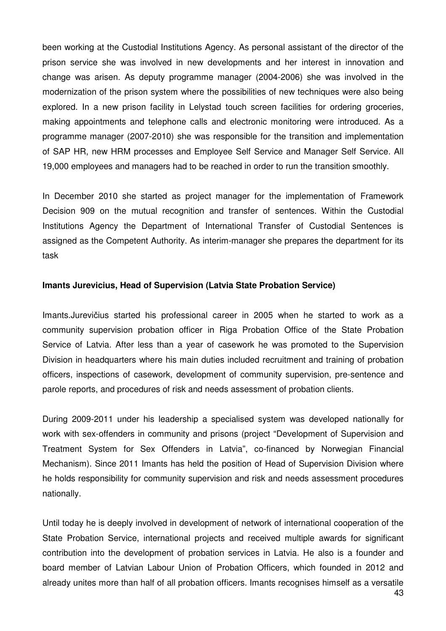been working at the Custodial Institutions Agency. As personal assistant of the director of the prison service she was involved in new developments and her interest in innovation and change was arisen. As deputy programme manager (2004-2006) she was involved in the modernization of the prison system where the possibilities of new techniques were also being explored. In a new prison facility in Lelystad touch screen facilities for ordering groceries, making appointments and telephone calls and electronic monitoring were introduced. As a programme manager (2007-2010) she was responsible for the transition and implementation of SAP HR, new HRM processes and Employee Self Service and Manager Self Service. All 19,000 employees and managers had to be reached in order to run the transition smoothly.

In December 2010 she started as project manager for the implementation of Framework Decision 909 on the mutual recognition and transfer of sentences. Within the Custodial Institutions Agency the Department of International Transfer of Custodial Sentences is assigned as the Competent Authority. As interim-manager she prepares the department for its task

#### **Imants Jurevicius, Head of Supervision (Latvia State Probation Service)**

Imants.Jurevičius started his professional career in 2005 when he started to work as a community supervision probation officer in Riga Probation Office of the State Probation Service of Latvia. After less than a year of casework he was promoted to the Supervision Division in headquarters where his main duties included recruitment and training of probation officers, inspections of casework, development of community supervision, pre-sentence and parole reports, and procedures of risk and needs assessment of probation clients.

During 2009-2011 under his leadership a specialised system was developed nationally for work with sex-offenders in community and prisons (project "Development of Supervision and Treatment System for Sex Offenders in Latvia", co-financed by Norwegian Financial Mechanism). Since 2011 Imants has held the position of Head of Supervision Division where he holds responsibility for community supervision and risk and needs assessment procedures nationally.

Until today he is deeply involved in development of network of international cooperation of the State Probation Service, international projects and received multiple awards for significant contribution into the development of probation services in Latvia. He also is a founder and board member of Latvian Labour Union of Probation Officers, which founded in 2012 and already unites more than half of all probation officers. Imants recognises himself as a versatile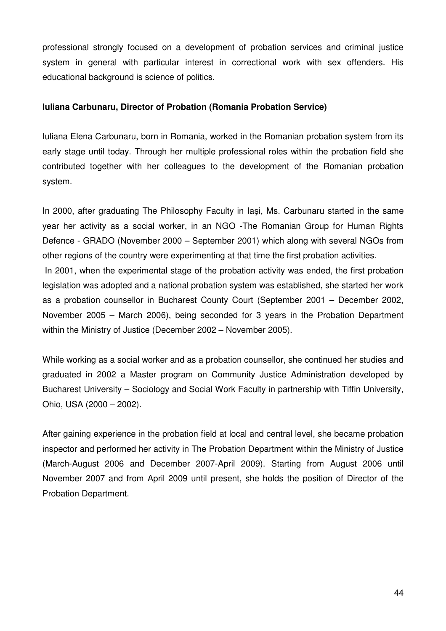professional strongly focused on a development of probation services and criminal justice system in general with particular interest in correctional work with sex offenders. His educational background is science of politics.

#### **Iuliana Carbunaru, Director of Probation (Romania Probation Service)**

Iuliana Elena Carbunaru, born in Romania, worked in the Romanian probation system from its early stage until today. Through her multiple professional roles within the probation field she contributed together with her colleagues to the development of the Romanian probation system.

In 2000, after graduating The Philosophy Faculty in Iaşi, Ms. Carbunaru started in the same year her activity as a social worker, in an NGO -The Romanian Group for Human Rights Defence - GRADO (November 2000 – September 2001) which along with several NGOs from other regions of the country were experimenting at that time the first probation activities.

 In 2001, when the experimental stage of the probation activity was ended, the first probation legislation was adopted and a national probation system was established, she started her work as a probation counsellor in Bucharest County Court (September 2001 – December 2002, November 2005 – March 2006), being seconded for 3 years in the Probation Department within the Ministry of Justice (December 2002 – November 2005).

While working as a social worker and as a probation counsellor, she continued her studies and graduated in 2002 a Master program on Community Justice Administration developed by Bucharest University – Sociology and Social Work Faculty in partnership with Tiffin University, Ohio, USA (2000 – 2002).

After gaining experience in the probation field at local and central level, she became probation inspector and performed her activity in The Probation Department within the Ministry of Justice (March-August 2006 and December 2007-April 2009). Starting from August 2006 until November 2007 and from April 2009 until present, she holds the position of Director of the Probation Department.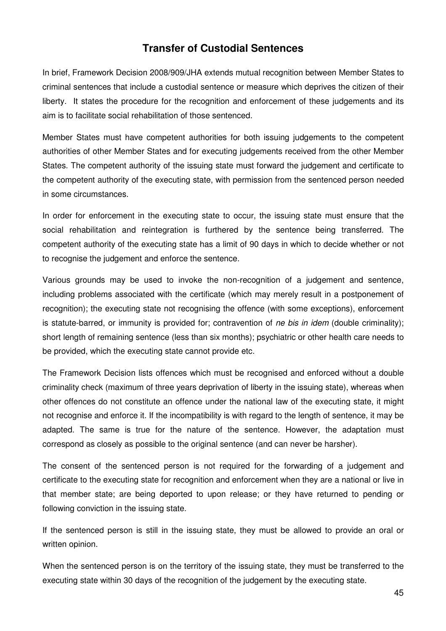## **Transfer of Custodial Sentences**

In brief, Framework Decision 2008/909/JHA extends mutual recognition between Member States to criminal sentences that include a custodial sentence or measure which deprives the citizen of their liberty. It states the procedure for the recognition and enforcement of these judgements and its aim is to facilitate social rehabilitation of those sentenced.

Member States must have competent authorities for both issuing judgements to the competent authorities of other Member States and for executing judgements received from the other Member States. The competent authority of the issuing state must forward the judgement and certificate to the competent authority of the executing state, with permission from the sentenced person needed in some circumstances.

In order for enforcement in the executing state to occur, the issuing state must ensure that the social rehabilitation and reintegration is furthered by the sentence being transferred. The competent authority of the executing state has a limit of 90 days in which to decide whether or not to recognise the judgement and enforce the sentence.

Various grounds may be used to invoke the non-recognition of a judgement and sentence, including problems associated with the certificate (which may merely result in a postponement of recognition); the executing state not recognising the offence (with some exceptions), enforcement is statute-barred, or immunity is provided for; contravention of ne bis in idem (double criminality); short length of remaining sentence (less than six months); psychiatric or other health care needs to be provided, which the executing state cannot provide etc.

The Framework Decision lists offences which must be recognised and enforced without a double criminality check (maximum of three years deprivation of liberty in the issuing state), whereas when other offences do not constitute an offence under the national law of the executing state, it might not recognise and enforce it. If the incompatibility is with regard to the length of sentence, it may be adapted. The same is true for the nature of the sentence. However, the adaptation must correspond as closely as possible to the original sentence (and can never be harsher).

The consent of the sentenced person is not required for the forwarding of a judgement and certificate to the executing state for recognition and enforcement when they are a national or live in that member state; are being deported to upon release; or they have returned to pending or following conviction in the issuing state.

If the sentenced person is still in the issuing state, they must be allowed to provide an oral or written opinion.

When the sentenced person is on the territory of the issuing state, they must be transferred to the executing state within 30 days of the recognition of the judgement by the executing state.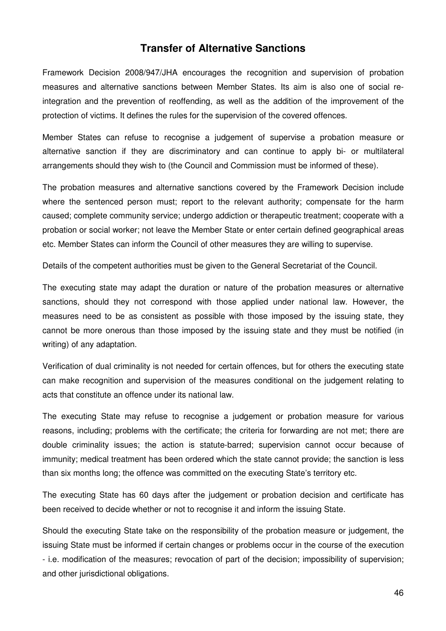### **Transfer of Alternative Sanctions**

Framework Decision 2008/947/JHA encourages the recognition and supervision of probation measures and alternative sanctions between Member States. Its aim is also one of social reintegration and the prevention of reoffending, as well as the addition of the improvement of the protection of victims. It defines the rules for the supervision of the covered offences.

Member States can refuse to recognise a judgement of supervise a probation measure or alternative sanction if they are discriminatory and can continue to apply bi- or multilateral arrangements should they wish to (the Council and Commission must be informed of these).

The probation measures and alternative sanctions covered by the Framework Decision include where the sentenced person must; report to the relevant authority; compensate for the harm caused; complete community service; undergo addiction or therapeutic treatment; cooperate with a probation or social worker; not leave the Member State or enter certain defined geographical areas etc. Member States can inform the Council of other measures they are willing to supervise.

Details of the competent authorities must be given to the General Secretariat of the Council.

The executing state may adapt the duration or nature of the probation measures or alternative sanctions, should they not correspond with those applied under national law. However, the measures need to be as consistent as possible with those imposed by the issuing state, they cannot be more onerous than those imposed by the issuing state and they must be notified (in writing) of any adaptation.

Verification of dual criminality is not needed for certain offences, but for others the executing state can make recognition and supervision of the measures conditional on the judgement relating to acts that constitute an offence under its national law.

The executing State may refuse to recognise a judgement or probation measure for various reasons, including; problems with the certificate; the criteria for forwarding are not met; there are double criminality issues; the action is statute-barred; supervision cannot occur because of immunity; medical treatment has been ordered which the state cannot provide; the sanction is less than six months long; the offence was committed on the executing State's territory etc.

The executing State has 60 days after the judgement or probation decision and certificate has been received to decide whether or not to recognise it and inform the issuing State.

Should the executing State take on the responsibility of the probation measure or judgement, the issuing State must be informed if certain changes or problems occur in the course of the execution - i.e. modification of the measures; revocation of part of the decision; impossibility of supervision; and other jurisdictional obligations.